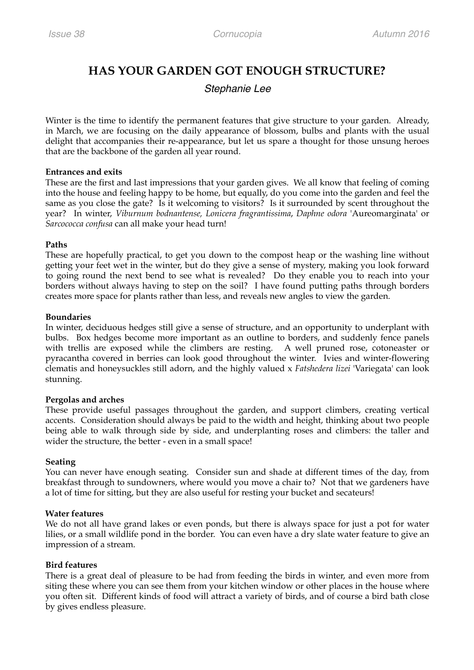# **HAS YOUR GARDEN GOT ENOUGH STRUCTURE?**

## *Stephanie Lee*

Winter is the time to identify the permanent features that give structure to your garden. Already, in March, we are focusing on the daily appearance of blossom, bulbs and plants with the usual delight that accompanies their re-appearance, but let us spare a thought for those unsung heroes that are the backbone of the garden all year round.

### **Entrances and exits**

These are the first and last impressions that your garden gives. We all know that feeling of coming into the house and feeling happy to be home, but equally, do you come into the garden and feel the same as you close the gate? Is it welcoming to visitors? Is it surrounded by scent throughout the year? In winter, *Viburnum bodnantense, Lonicera fragrantissima*, *Daphne odora* 'Aureomarginata' or *Sarcococca confusa* can all make your head turn!

### **Paths**

These are hopefully practical, to get you down to the compost heap or the washing line without getting your feet wet in the winter, but do they give a sense of mystery, making you look forward to going round the next bend to see what is revealed? Do they enable you to reach into your borders without always having to step on the soil? I have found putting paths through borders creates more space for plants rather than less, and reveals new angles to view the garden.

### **Boundaries**

In winter, deciduous hedges still give a sense of structure, and an opportunity to underplant with bulbs. Box hedges become more important as an outline to borders, and suddenly fence panels with trellis are exposed while the climbers are resting. A well pruned rose, cotoneaster or pyracantha covered in berries can look good throughout the winter. Ivies and winter-flowering clematis and honeysuckles still adorn, and the highly valued x *Fatshedera lizei* 'Variegata' can look stunning.

## **Pergolas and arches**

These provide useful passages throughout the garden, and support climbers, creating vertical accents. Consideration should always be paid to the width and height, thinking about two people being able to walk through side by side, and underplanting roses and climbers: the taller and wider the structure, the better - even in a small space!

## **Seating**

You can never have enough seating. Consider sun and shade at different times of the day, from breakfast through to sundowners, where would you move a chair to? Not that we gardeners have a lot of time for sitting, but they are also useful for resting your bucket and secateurs!

## **Water features**

We do not all have grand lakes or even ponds, but there is always space for just a pot for water lilies, or a small wildlife pond in the border. You can even have a dry slate water feature to give an impression of a stream.

## **Bird features**

There is a great deal of pleasure to be had from feeding the birds in winter, and even more from siting these where you can see them from your kitchen window or other places in the house where you often sit. Different kinds of food will attract a variety of birds, and of course a bird bath close by gives endless pleasure.